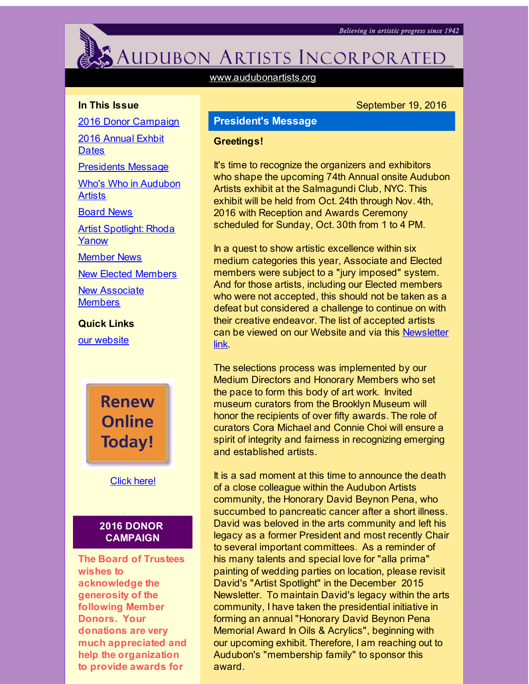<span id="page-0-0"></span>

# AUDUBON ARTISTS INCORPORATED

[www.audubonartists.org](http://r20.rs6.net/tn.jsp?f=0017e62ffAmSYZXIxdzUcgZgzC2NOZHtfjh7yEL9KWmE9768d-HFhk-2OpICbzPHfBPVoyTSNYWs67AcBwL7_cTZAO9xoQOD6B14DiZywMHtl_Cskr0S0HusUOxPMOyy2kbfrz5F0p4Eq7VSSQ7k3-6qsWL9VMuoiNWwi5XiB03stq5RH1ioWSe0Q==&c=&ch=)

## **In This Issue**

2016 Donor [Campaign](#page-0-0)

2016 [Annual](#page-0-0) Exhbit **Dates** 

[Presidents](#page-0-0) Message

Who's Who in [Audubon](#page-0-0) **Artists** 

[Board](#page-0-0) News

Artist [Spotlight:](#page-0-0) Rhoda Yanow

[Member](#page-0-0) News

New Elected [Members](#page-0-0)

**New [Associate](#page-0-0) Members** 

**Quick Links**

our [website](http://r20.rs6.net/tn.jsp?f=0017e62ffAmSYZXIxdzUcgZgzC2NOZHtfjh7yEL9KWmE9768d-HFhk-2OpICbzPHfBPVoyTSNYWs67AcBwL7_cTZAO9xoQOD6B14DiZywMHtl_Cskr0S0HusUOxPMOyy2kbfrz5F0p4Eq7VSSQ7k3-6qsWL9VMuoiNWwi5XiB03stq5RH1ioWSe0Q==&c=&ch=)

**Renew Online Today!** 

[Click](http://r20.rs6.net/tn.jsp?f=0017e62ffAmSYZXIxdzUcgZgzC2NOZHtfjh7yEL9KWmE9768d-HFhk-2J2TrvQUk5h4M2wAD7ybh0xvk0hYuHbe9yVDFvuQRw0bIOt8kndRpwPOLyAV9nR_wrSSN9eAAgylBHjwYCtblwtM-HXSRsP71Kz3sbjIpYCsrJnpqR_Hu9dJOKbEFDuIddJWoeaglH5EgNClgTTfSWo=&c=&ch=) here!

## **2016 DONOR CAMPAIGN**

**The Board of Trustees wishes to acknowledge the generosity of the following Member Donors. Your donations are very much appreciated and help the organization to provide awards for**

# September 19, 2016

# **President's Message**

#### **Greetings!**

It's time to recognize the organizers and exhibitors who shape the upcoming 74th Annual onsite Audubon Artists exhibit at the Salmagundi Club, NYC. This exhibit will be held from Oct. 24th through Nov. 4th, 2016 with Reception and Awards Ceremony scheduled for Sunday, Oct. 30th from 1 to 4 PM.

In a quest to show artistic excellence within six medium categories this year, Associate and Elected members were subject to a "jury imposed" system. And for those artists, including our Elected members who were not accepted, this should not be taken as a defeat but considered a challenge to continue on with their creative endeavor. The list of accepted artists can be viewed on our Website and via this [Newsletter](http://r20.rs6.net/tn.jsp?f=0017e62ffAmSYZXIxdzUcgZgzC2NOZHtfjh7yEL9KWmE9768d-HFhk-2KJ2CZ8jt6y4I-fHz8kwLIiZ4WEKp7Mt5eZ0UyXElDNzfDus7_PoB16FignueCMVxCyYSa2eDfXW7MEPKHz7bpNCH5Tq4SCmqmCDcjIROtQEAuAzRrHPU6qo3FrzfK53Q55Ls-IZEmvqIN1IWljZJ0B0Ao-BfNe3gLYRK0FYBIhg2FjU5qJc3ospLUqYVFudF6P6wlaVbVyciw-8TJpKQaGCsuvyv_07AL1uUdjtqhPQ&c=&ch=) link.

The selections process was implemented by our Medium Directors and Honorary Members who set the pace to form this body of art work. Invited museum curators from the Brooklyn Museum will honor the recipients of over fifty awards. The role of curators Cora Michael and Connie Choi will ensure a spirit of integrity and fairness in recognizing emerging and established artists.

It is a sad moment at this time to announce the death of a close colleague within the Audubon Artists community, the Honorary David Beynon Pena, who succumbed to pancreatic cancer after a short illness. David was beloved in the arts community and left his legacy as a former President and most recently Chair to several important committees. As a reminder of his many talents and special love for "alla prima" painting of wedding parties on location, please revisit David's "Artist Spotlight" in the December 2015 Newsletter. To maintain David's legacy within the arts community, I have taken the presidential initiative in forming an annual "Honorary David Beynon Pena Memorial Award In Oils & Acrylics", beginning with our upcoming exhibit. Therefore, I am reaching out to Audubon's "membership family" to sponsor this award.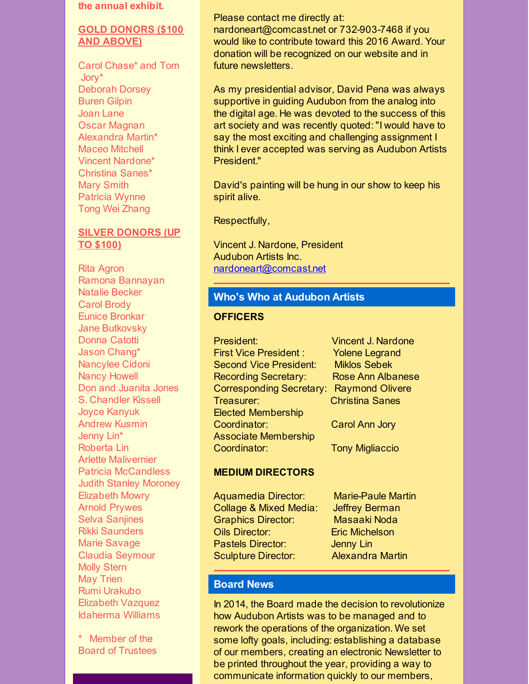#### **the annual exhibit.**

## **GOLD DONORS (\$100 AND ABOVE)**

Carol Chase\* and Tom Jory\* Deborah Dorsey Buren Gilpin Joan Lane Oscar Magnan Alexandra Martin\* Maceo Mitchell Vincent Nardone\* Christina Sanes\* Mary Smith Patricia Wynne Tong Wei Zhang

# **SILVER DONORS (UP TO \$100)**

Rita Agron Ramona Bannayan Natalie Becker Carol Brody Eunice Bronkar Jane Butkovsky Donna Catotti Jason Chang\* Nancylee Cidoni Nancy Howell Don and Juanita Jones S. Chandler Kissell Joyce Kanyuk Andrew Kusmin Jenny Lin\* Roberta Lin Arlette Malivernier Patricia McCandless Judith Stanley Moroney Elizabeth Mowry Arnold Prywes Selva Saniines Rikki Saunders Marie Savage Claudia Seymour Molly Stern May Trien Rumi Urakubo Elizabeth Vazquez Idaherma Williams

\* Member of the Board of Trustees

## Please contact me directly at:

nardoneart@comcast.net or 732-903-7468 if you would like to contribute toward this 2016 Award. Your donation will be recognized on our website and in future newsletters.

As my presidential advisor, David Pena was always supportive in guiding Audubon from the analog into the digital age. He was devoted to the success of this art society and was recently quoted: "I would have to say the most exciting and challenging assignment I think I ever accepted was serving as Audubon Artists President."

David's painting will be hung in our show to keep his spirit alive.

Respectfully,

Vincent J. Nardone, President Audubon Artists Inc. [nardoneart@comcast.net](mailto:nardoneart@comcast.net)

## **Who's Who at Audubon Artists**

### **OFFICERS**

President: Vincent J. Nardone First Vice President : Yolene Legrand Second Vice President: Miklos Sebek Recording Secretary: Rose Ann Albanese Corresponding Secretary: Raymond Olivere Treasurer: Christina Sanes Elected Membership Coordinator: Carol Ann Jory Associate Membership Coordinator: Tony Migliaccio

## **MEDIUM DIRECTORS**

Aquamedia Director: Marie-Paule Martin Collage & Mixed Media: Jeffrey Berman Graphics Director: Masaaki Noda Oils Director: Eric Michelson Pastels Director: Jenny Lin Sculpture Director: Alexandra Martin

# **Board News**

In 2014, the Board made the decision to revolutionize how Audubon Artists was to be managed and to rework the operations of the organization. We set some lofty goals, including: establishing a database of our members, creating an electronic Newsletter to be printed throughout the year, providing a way to communicate information quickly to our members,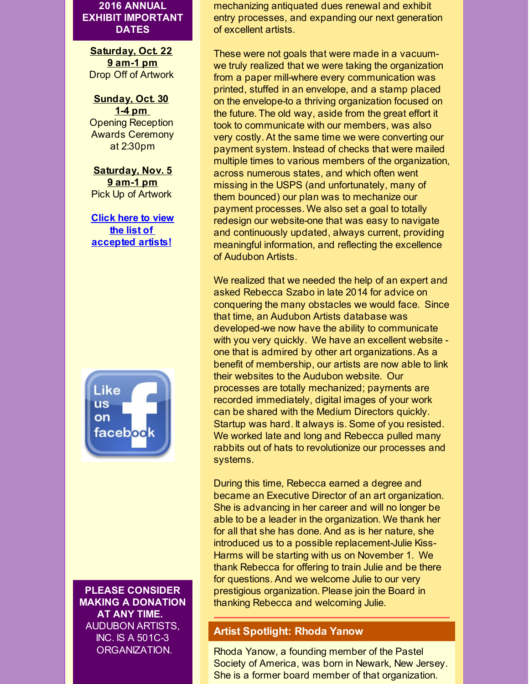**2016 ANNUAL EXHIBIT IMPORTANT DATES**

**Saturday, Oct. 22 9 am-1 pm** Drop Off of Artwork

**Sunday, Oct. 30 1-4 pm** Opening Reception Awards Ceremony at 2:30pm

**Saturday, Nov. 5 9 am-1 pm** Pick Up of Artwork

**Click here to view the list of [accepted](http://r20.rs6.net/tn.jsp?f=0017e62ffAmSYZXIxdzUcgZgzC2NOZHtfjh7yEL9KWmE9768d-HFhk-2KJ2CZ8jt6y4OLmLrXMAU6j9EZHkb5XL3WIuhfHm3VvvYEryaBdRHpf85MYyArrePdNnoYUN2s4Lwke1TkitMXjYVM_VKYPONK71GTw0bG878EmqO2hwbcXadEPkvghzIYkYVhjTtb0uHhYphA4pZollHtjBoV3wAmGUIOZWlIpmUJZ-PBT9HLlrGoy_r98DGpVttOuqLljZ&c=&ch=) artists!**



**PLEASE CONSIDER MAKING A DONATION AT ANY TIME.** AUDUBON ARTISTS, INC. IS A 501C-3 ORGANIZATION.

mechanizing antiquated dues renewal and exhibit entry processes, and expanding our next generation of excellent artists.

These were not goals that were made in a vacuumwe truly realized that we were taking the organization from a paper mill-where every communication was printed, stuffed in an envelope, and a stamp placed on the envelope-to a thriving organization focused on the future. The old way, aside from the great effort it took to communicate with our members, was also very costly. At the same time we were converting our payment system. Instead of checks that were mailed multiple times to various members of the organization, across numerous states, and which often went missing in the USPS (and unfortunately, many of them bounced) our plan was to mechanize our payment processes. We also set a goal to totally redesign our website-one that was easy to navigate and continuously updated, always current, providing meaningful information, and reflecting the excellence of Audubon Artists.

We realized that we needed the help of an expert and asked Rebecca Szabo in late 2014 for advice on conquering the many obstacles we would face. Since that time, an Audubon Artists database was developed-we now have the ability to communicate with you very quickly. We have an excellent website one that is admired by other art organizations. As a benefit of membership, our artists are now able to link their websites to the Audubon website. Our processes are totally mechanized; payments are recorded immediately, digital images of your work can be shared with the Medium Directors quickly. Startup was hard. It always is. Some of you resisted. We worked late and long and Rebecca pulled many rabbits out of hats to revolutionize our processes and systems.

During this time, Rebecca earned a degree and became an Executive Director of an art organization. She is advancing in her career and will no longer be able to be a leader in the organization. We thank her for all that she has done. And as is her nature, she introduced us to a possible replacement-Julie Kiss-Harms will be starting with us on November 1. We thank Rebecca for offering to train Julie and be there for questions. And we welcome Julie to our very prestigious organization. Please join the Board in thanking Rebecca and welcoming Julie.

## **Artist Spotlight: Rhoda Yanow**

Rhoda Yanow, a founding member of the Pastel Society of America, was born in Newark, New Jersey. She is a former board member of that organization.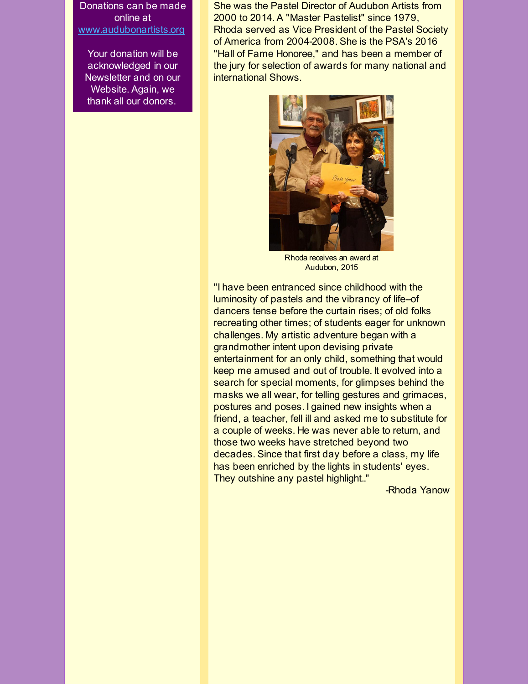Donations can be made online at [www.audubonartists.org](http://r20.rs6.net/tn.jsp?f=0017e62ffAmSYZXIxdzUcgZgzC2NOZHtfjh7yEL9KWmE9768d-HFhk-2A3z_brJGoXFLce9IjICTwu1dpeR99_it_RjpUfG4WH7ktvC4Fzx_CZpi8PvUJhk3Cnl23wtaRWc9nZpFWHFvwSK5ttrYfYmI8RoWm7Per9D7DjiqV4HHg3csGjfhNCDTeJcNn9j77_s&c=&ch=)

Your donation will be acknowledged in our Newsletter and on our Website. Again, we thank all our donors.

She was the Pastel Director of Audubon Artists from 2000 to 2014. A "Master Pastelist" since 1979, Rhoda served as Vice President of the Pastel Society of America from 2004-2008. She is the PSA's 2016 "Hall of Fame Honoree," and has been a member of the jury for selection of awards for many national and international Shows.



Rhoda receives an award at Audubon, 2015

"I have been entranced since childhood with the luminosity of pastels and the vibrancy of life-of dancers tense before the curtain rises; of old folks recreating other times; of students eager for unknown challenges. My artistic adventure began with a grandmother intent upon devising private entertainment for an only child, something that would keep me amused and out of trouble. It evolved into a search for special moments, for glimpses behind the masks we all wear, for telling gestures and grimaces, postures and poses. I gained new insights when a friend, a teacher, fell ill and asked me to substitute for a couple of weeks. He was never able to return, and those two weeks have stretched beyond two decades. Since that first day before a class, my life has been enriched by the lights in students' eyes. They outshine any pastel highlight.."

-Rhoda Yanow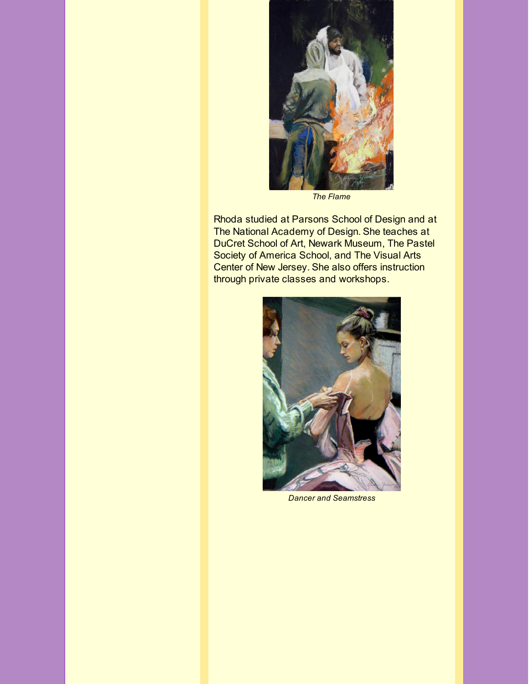

*The Flame*

Rhoda studied at Parsons School of Design and at The National Academy of Design. She teaches at DuCret School of Art, Newark Museum, The Pastel Society of America School, and The Visual Arts Center of New Jersey. She also offers instruction through private classes and workshops.



*Dancer and Seamstress*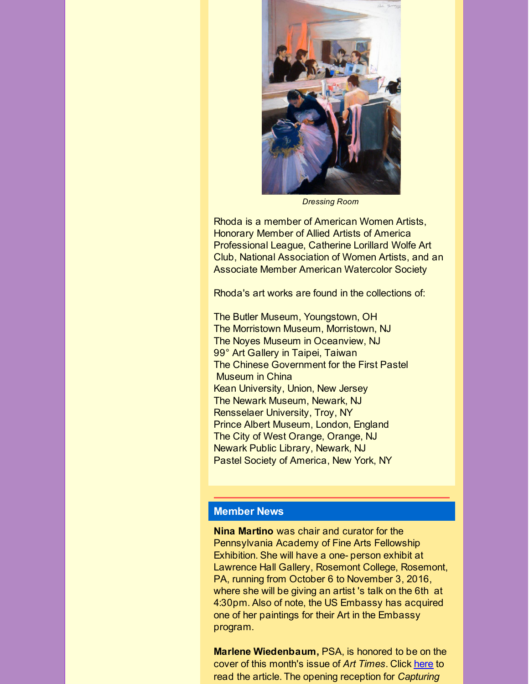

*Dressing Room*

Rhoda is a member of American Women Artists, Honorary Member of Allied Artists of America Professional League, Catherine Lorillard Wolfe Art Club, National Association of Women Artists, and an Associate Member American Watercolor Society

Rhoda's art works are found in the collections of:

The Butler Museum, Youngstown, OH The Morristown Museum, Morristown, NJ The Noyes Museum in Oceanview, NJ 99° Art Gallery in Taipei, Taiwan The Chinese Government for the First Pastel Museum in China Kean University, Union, New Jersey The Newark Museum, Newark, NJ Rensselaer University, Troy, NY Prince Albert Museum, London, England The City of West Orange, Orange, NJ Newark Public Library, Newark, NJ Pastel Society of America, New York, NY

## **Member News**

**Nina Martino** was chair and curator for the Pennsylvania Academy of Fine Arts Fellowship Exhibition. She will have a one- person exhibit at Lawrence Hall Gallery, Rosemont College, Rosemont, PA, running from October 6 to November 3, 2016, where she will be giving an artist 's talk on the 6th at 4:30pm. Also of note, the US Embassy has acquired one of her paintings for their Art in the Embassy program.

**Marlene Wiedenbaum,** PSA, is honored to be on the cover of this month's issue of *Art Times*. Click [here](http://r20.rs6.net/tn.jsp?f=0017e62ffAmSYZXIxdzUcgZgzC2NOZHtfjh7yEL9KWmE9768d-HFhk-2KJ2CZ8jt6y49VyIetckKzpIqlvt6zP182JTYamMVDfT_2qwRnn1z1FJtrHddyQAr9FasjwSwfrgkEy9zlP-ZOjHJ0G07_UMnEZiThsE9tGjXypRFhl7KCGTlHMJBTu5LaYkuQSCSD807T-vWxgXfxECcuHoKYn4KN-i5nq5YmovHdULZ2Iiw-lMlpAXQW29GscFGNnpytDFC4eohMPqfos=&c=&ch=) to read the article. The opening reception for *Capturing*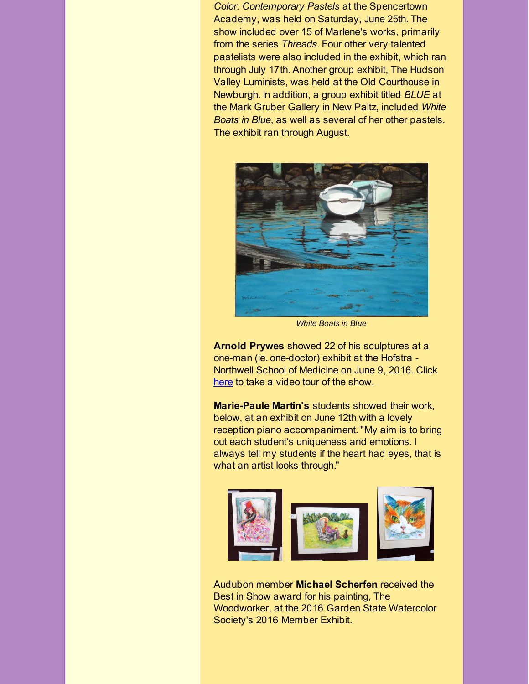*Color: Contemporary Pastels* at the Spencertown Academy, was held on Saturday, June 25th. The show included over 15 of Marlene's works, primarily from the series *Threads*. Four other very talented pastelists were also included in the exhibit, which ran through July 17th. Another group exhibit, The Hudson Valley Luminists, was held at the Old Courthouse in Newburgh. In addition, a group exhibit titled *BLUE* at the Mark Gruber Gallery in New Paltz, included *White Boats in Blue*, as well as several of her other pastels. The exhibit ran through August.



*White Boats in Blue*

**Arnold Prywes** showed 22 of his sculptures at a one-man (ie. one-doctor) exhibit at the Hofstra - Northwell School of Medicine on June 9, 2016. Click [here](http://r20.rs6.net/tn.jsp?f=0017e62ffAmSYZXIxdzUcgZgzC2NOZHtfjh7yEL9KWmE9768d-HFhk-2KJ2CZ8jt6y4DdOllLZHdtRouN-Vt_zxuvivpUXJhMxWI9-0V6cPqH3ZhjB2EhMYRsds5ode39KAVzR3ex571ZZspKhl-HuQFQK7sjE8X5c5DNSBLcIns7Ps6-q3B44pHgDLH_rxdVwUeyDtJ1XtRHFugfcaiRfHzkB9YqBrDq4kbknREmX7g1vEANQPn6VB4uJzFCqyu3ShclKr0RPICss=&c=&ch=) to take a video tour of the show.

**Marie-Paule Martin's** students showed their work, below, at an exhibit on June 12th with a lovely reception piano accompaniment. "My aim is to bring out each student's uniqueness and emotions. I always tell my students if the heart had eyes, that is what an artist looks through."



Audubon member **Michael Scherfen** received the Best in Show award for his painting, The Woodworker, at the 2016 Garden State Watercolor Society's 2016 Member Exhibit.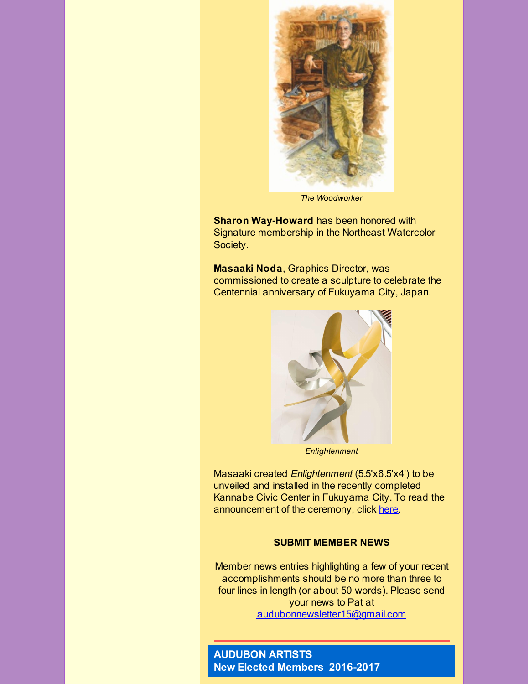

*The Woodworker*

**Sharon Way-Howard** has been honored with Signature membership in the Northeast Watercolor Society.

**Masaaki Noda**, Graphics Director, was commissioned to create a sculpture to celebrate the Centennial anniversary of Fukuyama City, Japan.



*Enlightenment*

Masaaki created *Enlightenment* (5.5'x6.5'x4') to be unveiled and installed in the recently completed Kannabe Civic Center in Fukuyama City. To read the announcement of the ceremony, click [here](http://r20.rs6.net/tn.jsp?f=0017e62ffAmSYZXIxdzUcgZgzC2NOZHtfjh7yEL9KWmE9768d-HFhk-2KJ2CZ8jt6y4jLD2Btw6N2xBGGkHHrFhsa361qXymyuwwgyJzW227tONjNMerEder9DKdDjH0hEwQy0i8KyMOQZJVLtdQm8a3yVy5rhBKm_ZgqF878H7YGeiOQEnHVatCF8m3koq9k9D79e-3pEFPXJBgSY40oMdBu3j3ij5i82AsxHaxFKUKh4mUd7fm3Z7C08OmlwozNF0&c=&ch=).

## **SUBMIT MEMBER NEWS**

Member news entries highlighting a few of your recent accomplishments should be no more than three to four lines in length (or about 50 words). Please send your news to Pat at [audubonnewsletter15@gmail.com](mailto:audubonnewsletter15@gmail.com)

# **AUDUBON ARTISTS New Elected Members 2016-2017**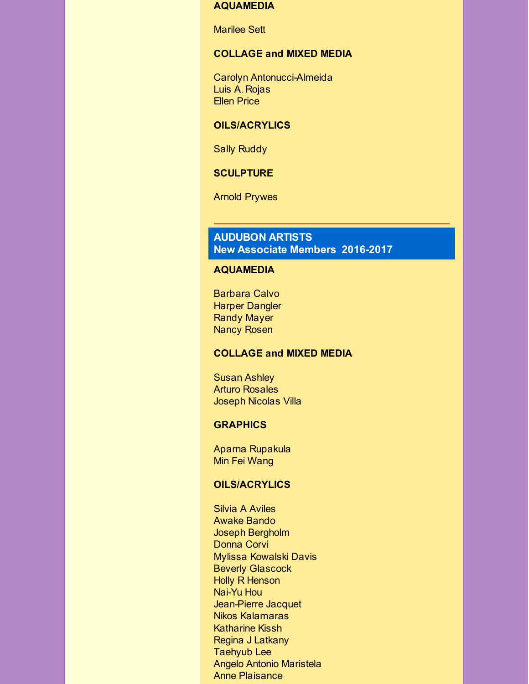#### **AQUAMEDIA**

Marilee Sett

## **COLLAGE and MIXED MEDIA**

Carolyn Antonucci-Almeida Luis A. Rojas Ellen Price

## **OILS/ACRYLICS**

Sally Ruddy

## **SCULPTURE**

Arnold Prywes

# **AUDUBON ARTISTS New Associate Members 2016-2017**

#### **AQUAMEDIA**

Barbara Calvo Harper Dangler Randy Mayer Nancy Rosen

#### **COLLAGE and MIXED MEDIA**

Susan Ashley Arturo Rosales Joseph Nicolas Villa

#### **GRAPHICS**

Aparna Rupakula Min Fei Wang

## **OILS/ACRYLICS**

Silvia A Aviles Awake Bando Joseph Bergholm Donna Corvi Mylissa Kowalski Davis Beverly Glascock Holly R Henson Nai-Yu Hou Jean-Pierre Jacquet Nikos Kalamaras Katharine Kissh Regina J Latkany Taehyub Lee Angelo Antonio Maristela Anne Plaisance